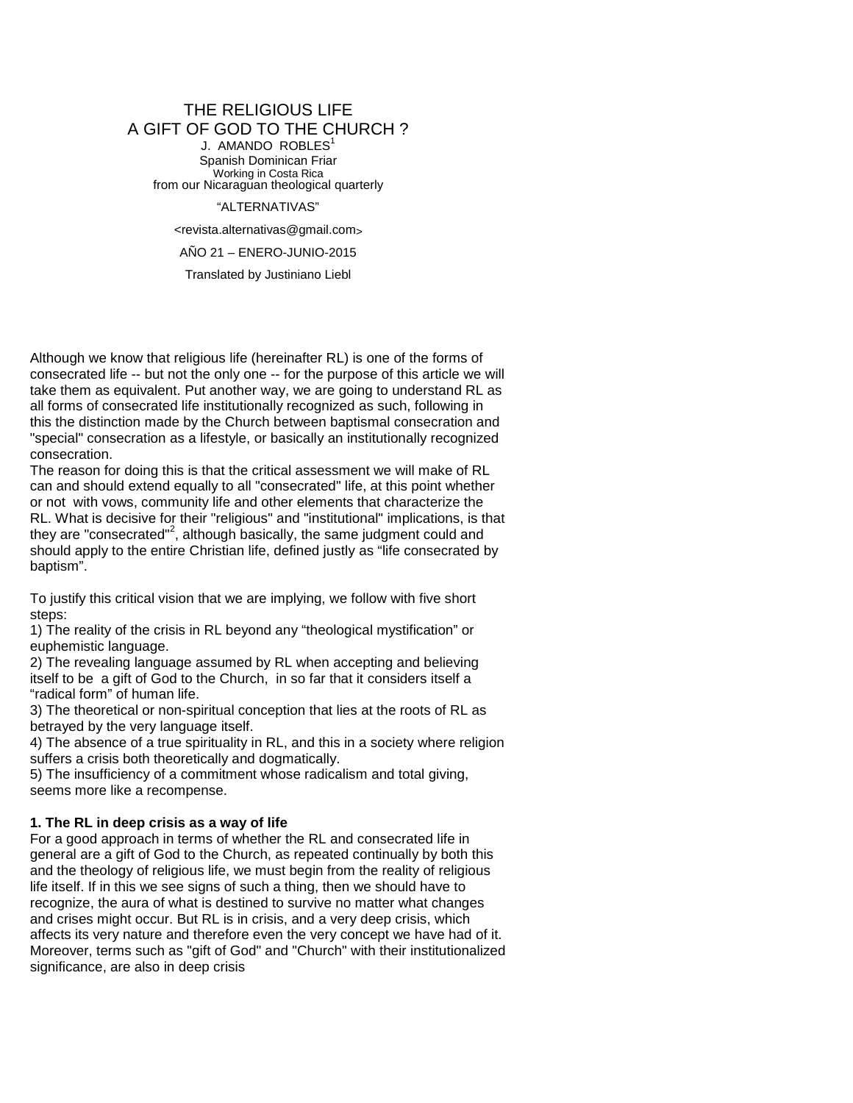### THE RELIGIOUS LIFE A GIFT OF GOD TO THE CHURCH ? J. AMANDO ROBLES<sup>1</sup> Spanish Dominican Friar Working in Costa Rica from our Nicaraguan theological quarterly

"ALTERNATIVAS"

<revista.alternativas@gmail.com>

AÑO 21 – ENERO-JUNIO-2015

Translated by Justiniano Liebl

Although we know that religious life (hereinafter RL) is one of the forms of consecrated life -- but not the only one -- for the purpose of this article we will take them as equivalent. Put another way, we are going to understand RL as all forms of consecrated life institutionally recognized as such, following in this the distinction made by the Church between baptismal consecration and "special" consecration as a lifestyle, or basically an institutionally recognized consecration.

The reason for doing this is that the critical assessment we will make of RL can and should extend equally to all "consecrated" life, at this point whether or not with vows, community life and other elements that characterize the RL. What is decisive for their "religious" and "institutional" implications, is that they are "consecrated"<sup>2</sup>, although basically, the same judgment could and should apply to the entire Christian life, defined justly as "life consecrated by baptism".

To justify this critical vision that we are implying, we follow with five short steps:

1) The reality of the crisis in RL beyond any "theological mystification" or euphemistic language.

2) The revealing language assumed by RL when accepting and believing itself to be a gift of God to the Church, in so far that it considers itself a "radical form" of human life.

3) The theoretical or non-spiritual conception that lies at the roots of RL as betrayed by the very language itself.

4) The absence of a true spirituality in RL, and this in a society where religion suffers a crisis both theoretically and dogmatically.

5) The insufficiency of a commitment whose radicalism and total giving, seems more like a recompense.

### **1. The RL in deep crisis as a way of life**

For a good approach in terms of whether the RL and consecrated life in general are a gift of God to the Church, as repeated continually by both this and the theology of religious life, we must begin from the reality of religious life itself. If in this we see signs of such a thing, then we should have to recognize, the aura of what is destined to survive no matter what changes and crises might occur. But RL is in crisis, and a very deep crisis, which affects its very nature and therefore even the very concept we have had of it. Moreover, terms such as "gift of God" and "Church" with their institutionalized significance, are also in deep crisis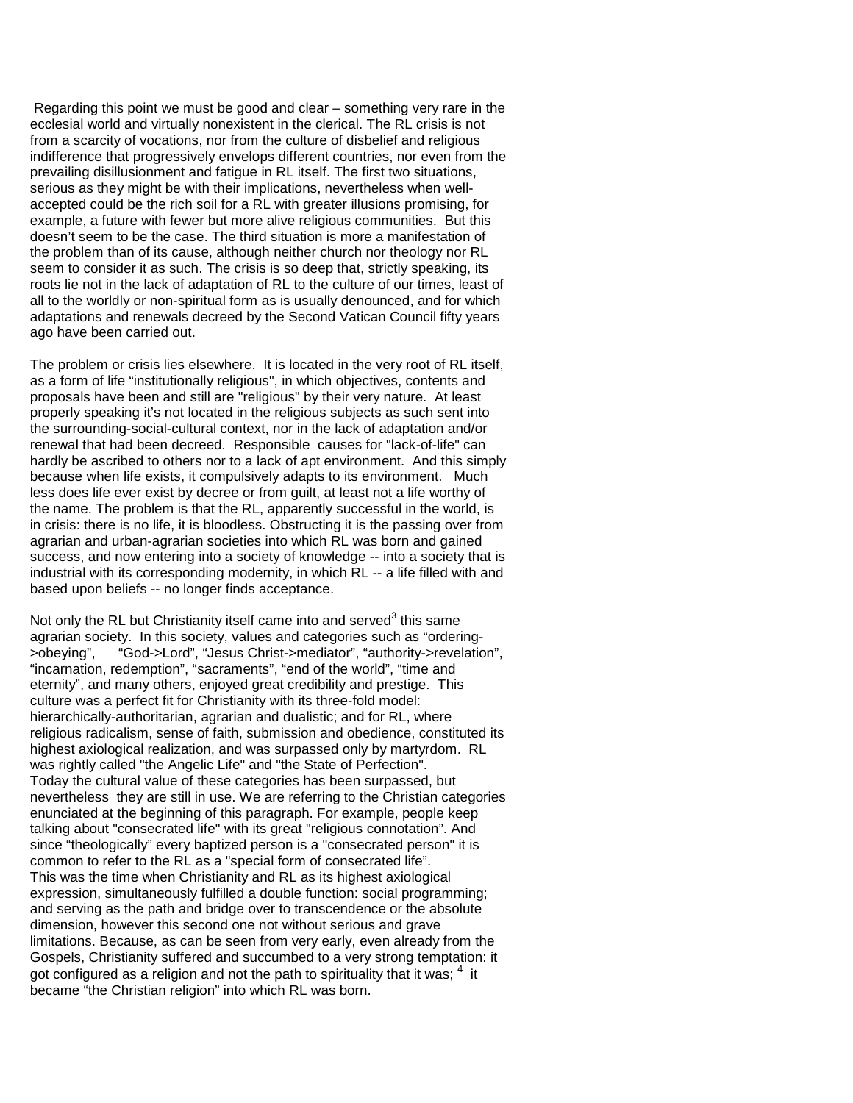Regarding this point we must be good and clear – something very rare in the ecclesial world and virtually nonexistent in the clerical. The RL crisis is not from a scarcity of vocations, nor from the culture of disbelief and religious indifference that progressively envelops different countries, nor even from the prevailing disillusionment and fatigue in RL itself. The first two situations, serious as they might be with their implications, nevertheless when wellaccepted could be the rich soil for a RL with greater illusions promising, for example, a future with fewer but more alive religious communities. But this doesn't seem to be the case. The third situation is more a manifestation of the problem than of its cause, although neither church nor theology nor RL seem to consider it as such. The crisis is so deep that, strictly speaking, its roots lie not in the lack of adaptation of RL to the culture of our times, least of all to the worldly or non-spiritual form as is usually denounced, and for which adaptations and renewals decreed by the Second Vatican Council fifty years ago have been carried out.

The problem or crisis lies elsewhere. It is located in the very root of RL itself, as a form of life "institutionally religious", in which objectives, contents and proposals have been and still are "religious" by their very nature. At least properly speaking it's not located in the religious subjects as such sent into the surrounding-social-cultural context, nor in the lack of adaptation and/or renewal that had been decreed. Responsible causes for "lack-of-life" can hardly be ascribed to others nor to a lack of apt environment. And this simply because when life exists, it compulsively adapts to its environment. Much less does life ever exist by decree or from guilt, at least not a life worthy of the name. The problem is that the RL, apparently successful in the world, is in crisis: there is no life, it is bloodless. Obstructing it is the passing over from agrarian and urban-agrarian societies into which RL was born and gained success, and now entering into a society of knowledge -- into a society that is industrial with its corresponding modernity, in which RL -- a life filled with and based upon beliefs -- no longer finds acceptance.

Not only the RL but Christianity itself came into and served $3$  this same agrarian society. In this society, values and categories such as "ordering-<br>
> obeving", "God-> Lord", "Jesus Christ->mediator", "authority->revelation "God->Lord", "Jesus Christ->mediator", "authority->revelation", "incarnation, redemption", "sacraments", "end of the world", "time and eternity", and many others, enjoyed great credibility and prestige. This culture was a perfect fit for Christianity with its three-fold model: hierarchically-authoritarian, agrarian and dualistic; and for RL, where religious radicalism, sense of faith, submission and obedience, constituted its highest axiological realization, and was surpassed only by martyrdom. RL was rightly called "the Angelic Life" and "the State of Perfection". Today the cultural value of these categories has been surpassed, but nevertheless they are still in use. We are referring to the Christian categories enunciated at the beginning of this paragraph. For example, people keep talking about "consecrated life" with its great "religious connotation". And since "theologically" every baptized person is a "consecrated person" it is common to refer to the RL as a "special form of consecrated life". This was the time when Christianity and RL as its highest axiological expression, simultaneously fulfilled a double function: social programming; and serving as the path and bridge over to transcendence or the absolute dimension, however this second one not without serious and grave limitations. Because, as can be seen from very early, even already from the Gospels, Christianity suffered and succumbed to a very strong temptation: it got configured as a religion and not the path to spirituality that it was;  $^4$  it became "the Christian religion" into which RL was born.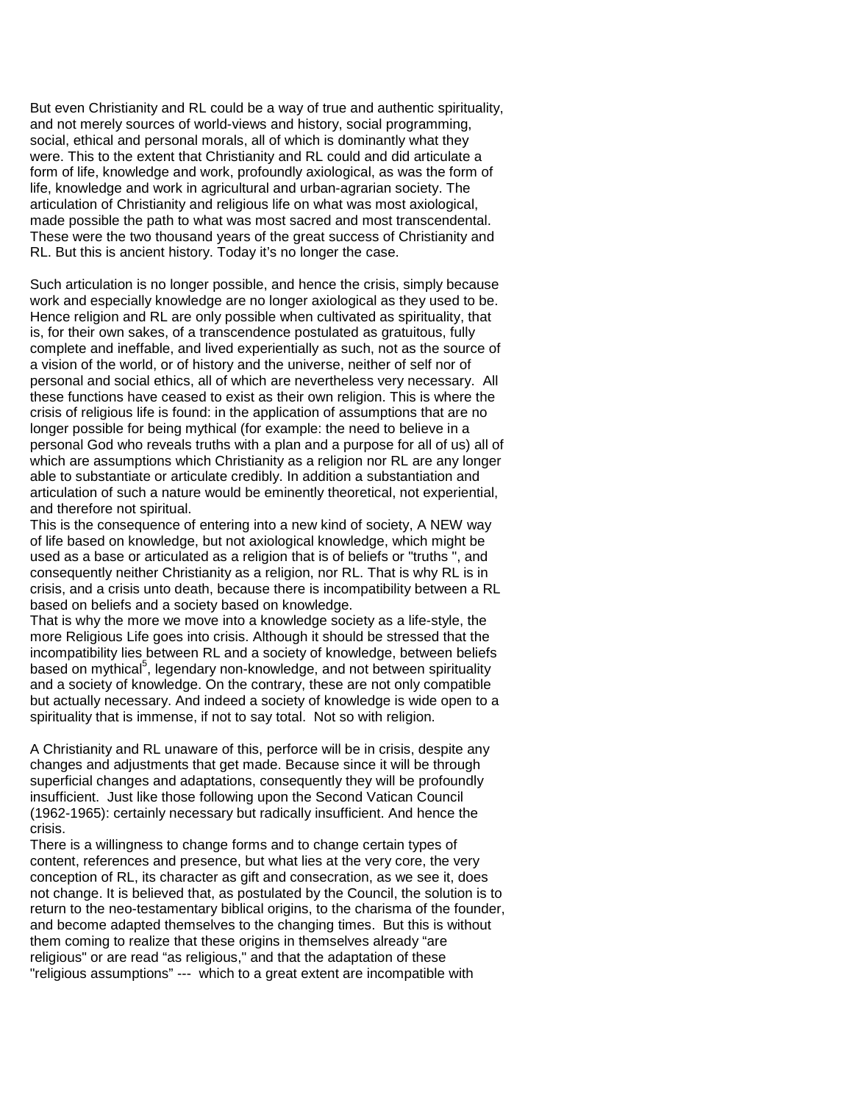But even Christianity and RL could be a way of true and authentic spirituality, and not merely sources of world-views and history, social programming, social, ethical and personal morals, all of which is dominantly what they were. This to the extent that Christianity and RL could and did articulate a form of life, knowledge and work, profoundly axiological, as was the form of life, knowledge and work in agricultural and urban-agrarian society. The articulation of Christianity and religious life on what was most axiological, made possible the path to what was most sacred and most transcendental. These were the two thousand years of the great success of Christianity and RL. But this is ancient history. Today it's no longer the case.

Such articulation is no longer possible, and hence the crisis, simply because work and especially knowledge are no longer axiological as they used to be. Hence religion and RL are only possible when cultivated as spirituality, that is, for their own sakes, of a transcendence postulated as gratuitous, fully complete and ineffable, and lived experientially as such, not as the source of a vision of the world, or of history and the universe, neither of self nor of personal and social ethics, all of which are nevertheless very necessary. All these functions have ceased to exist as their own religion. This is where the crisis of religious life is found: in the application of assumptions that are no longer possible for being mythical (for example: the need to believe in a personal God who reveals truths with a plan and a purpose for all of us) all of which are assumptions which Christianity as a religion nor RL are any longer able to substantiate or articulate credibly. In addition a substantiation and articulation of such a nature would be eminently theoretical, not experiential, and therefore not spiritual.

This is the consequence of entering into a new kind of society, A NEW way of life based on knowledge, but not axiological knowledge, which might be used as a base or articulated as a religion that is of beliefs or "truths ", and consequently neither Christianity as a religion, nor RL. That is why RL is in crisis, and a crisis unto death, because there is incompatibility between a RL based on beliefs and a society based on knowledge.

That is why the more we move into a knowledge society as a life-style, the more Religious Life goes into crisis. Although it should be stressed that the incompatibility lies between RL and a society of knowledge, between beliefs based on mythical<sup>5</sup>, legendary non-knowledge, and not between spirituality and a society of knowledge. On the contrary, these are not only compatible but actually necessary. And indeed a society of knowledge is wide open to a spirituality that is immense, if not to say total. Not so with religion.

A Christianity and RL unaware of this, perforce will be in crisis, despite any changes and adjustments that get made. Because since it will be through superficial changes and adaptations, consequently they will be profoundly insufficient. Just like those following upon the Second Vatican Council (1962-1965): certainly necessary but radically insufficient. And hence the crisis.

There is a willingness to change forms and to change certain types of content, references and presence, but what lies at the very core, the very conception of RL, its character as gift and consecration, as we see it, does not change. It is believed that, as postulated by the Council, the solution is to return to the neo-testamentary biblical origins, to the charisma of the founder, and become adapted themselves to the changing times. But this is without them coming to realize that these origins in themselves already "are religious" or are read "as religious," and that the adaptation of these "religious assumptions" --- which to a great extent are incompatible with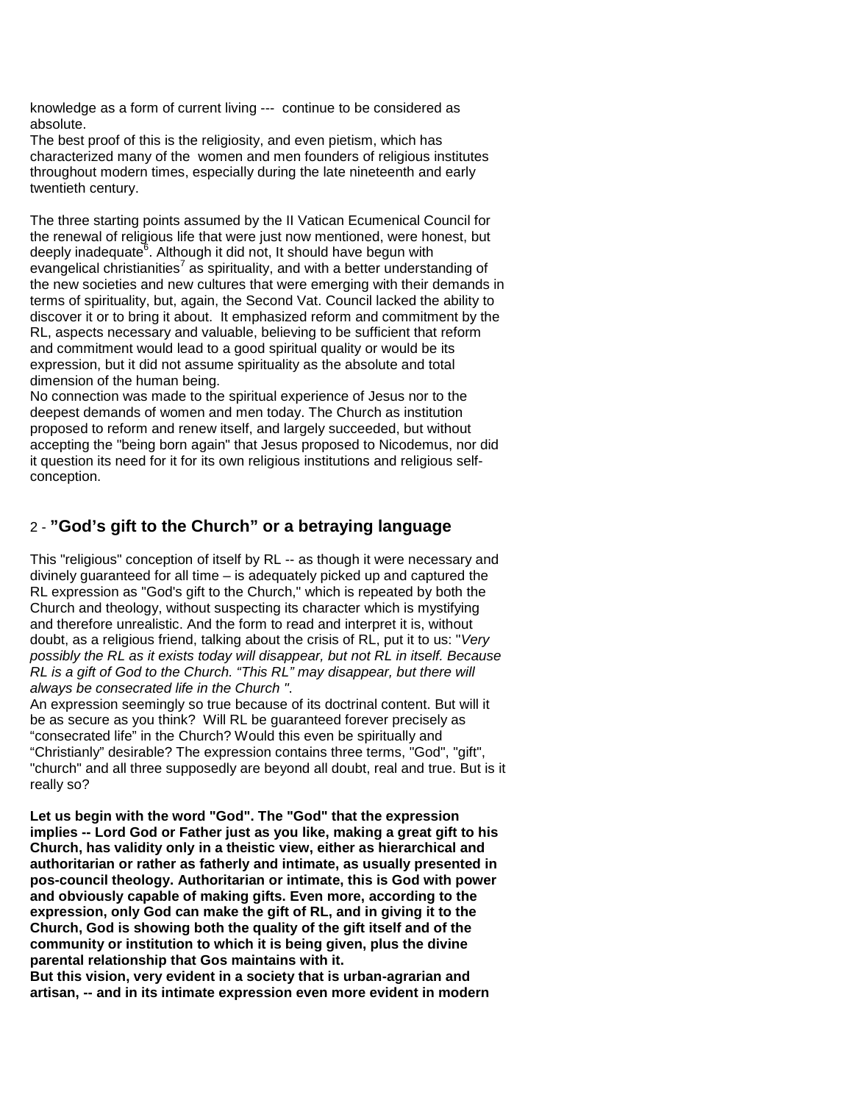knowledge as a form of current living --- continue to be considered as absolute.

The best proof of this is the religiosity, and even pietism, which has characterized many of the women and men founders of religious institutes throughout modern times, especially during the late nineteenth and early twentieth century.

The three starting points assumed by the II Vatican Ecumenical Council for the renewal of religious life that were just now mentioned, were honest, but deeply inadequate<sup>6</sup>. Although it did not, It should have begun with evangelical christianities<sup>7</sup> as spirituality, and with a better understanding of the new societies and new cultures that were emerging with their demands in terms of spirituality, but, again, the Second Vat. Council lacked the ability to discover it or to bring it about. It emphasized reform and commitment by the RL, aspects necessary and valuable, believing to be sufficient that reform and commitment would lead to a good spiritual quality or would be its expression, but it did not assume spirituality as the absolute and total dimension of the human being.

No connection was made to the spiritual experience of Jesus nor to the deepest demands of women and men today. The Church as institution proposed to reform and renew itself, and largely succeeded, but without accepting the "being born again" that Jesus proposed to Nicodemus, nor did it question its need for it for its own religious institutions and religious selfconception.

# 2 - **"God's gift to the Church" or a betraying language**

This "religious" conception of itself by RL -- as though it were necessary and divinely guaranteed for all time – is adequately picked up and captured the RL expression as "God's gift to the Church," which is repeated by both the Church and theology, without suspecting its character which is mystifying and therefore unrealistic. And the form to read and interpret it is, without doubt, as a religious friend, talking about the crisis of RL, put it to us: "*Very possibly the RL as it exists today will disappear, but not RL in itself. Because RL is a gift of God to the Church. "This RL" may disappear, but there will always be consecrated life in the Church "*.

An expression seemingly so true because of its doctrinal content. But will it be as secure as you think? Will RL be guaranteed forever precisely as "consecrated life" in the Church? Would this even be spiritually and "Christianly" desirable? The expression contains three terms, "God", "gift", "church" and all three supposedly are beyond all doubt, real and true. But is it really so?

**Let us begin with the word "God". The "God" that the expression implies -- Lord God or Father just as you like, making a great gift to his Church, has validity only in a theistic view, either as hierarchical and authoritarian or rather as fatherly and intimate, as usually presented in pos-council theology. Authoritarian or intimate, this is God with power and obviously capable of making gifts. Even more, according to the expression, only God can make the gift of RL, and in giving it to the Church, God is showing both the quality of the gift itself and of the community or institution to which it is being given, plus the divine parental relationship that Gos maintains with it.**

**But this vision, very evident in a society that is urban-agrarian and artisan, -- and in its intimate expression even more evident in modern**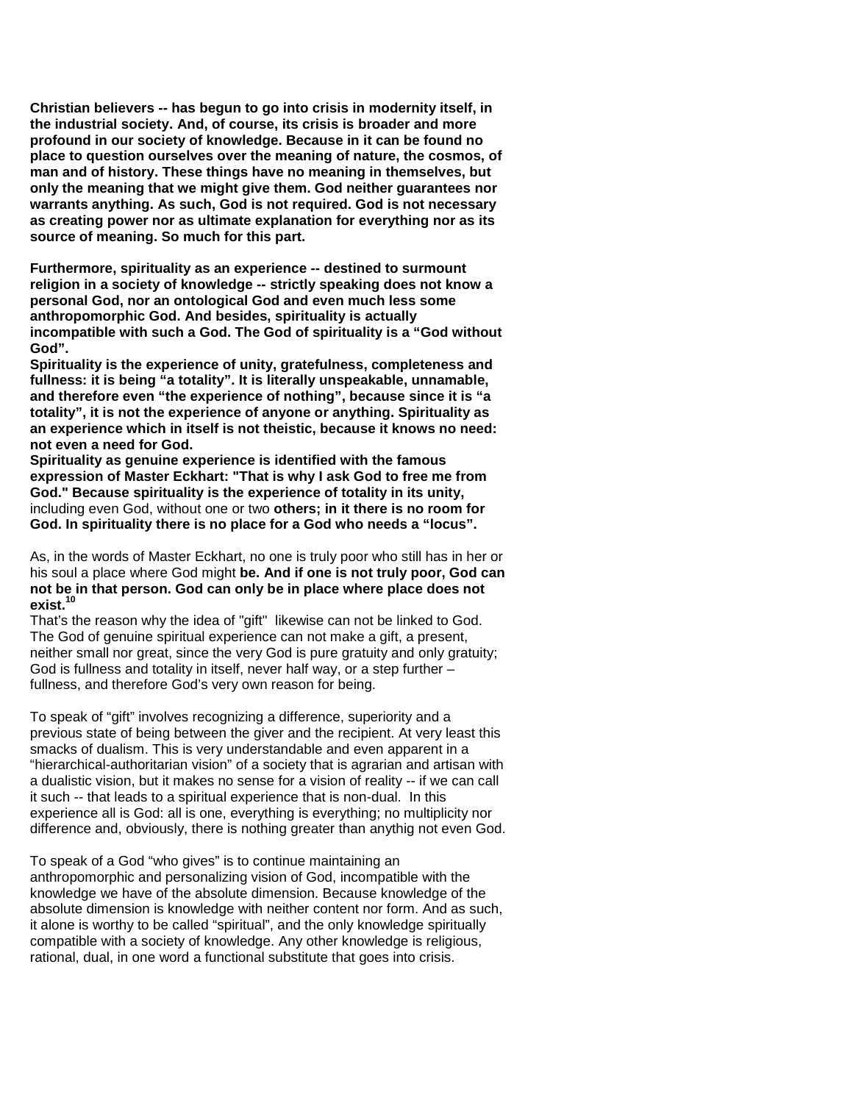**Christian believers -- has begun to go into crisis in modernity itself, in the industrial society. And, of course, its crisis is broader and more profound in our society of knowledge. Because in it can be found no place to question ourselves over the meaning of nature, the cosmos, of man and of history. These things have no meaning in themselves, but only the meaning that we might give them. God neither guarantees nor warrants anything. As such, God is not required. God is not necessary as creating power nor as ultimate explanation for everything nor as its source of meaning. So much for this part.**

**Furthermore, spirituality as an experience -- destined to surmount religion in a society of knowledge -- strictly speaking does not know a personal God, nor an ontological God and even much less some anthropomorphic God. And besides, spirituality is actually incompatible with such a God. The God of spirituality is a "God without God".**

**Spirituality is the experience of unity, gratefulness, completeness and fullness: it is being "a totality". It is literally unspeakable, unnamable, and therefore even "the experience of nothing", because since it is "a totality", it is not the experience of anyone or anything. Spirituality as an experience which in itself is not theistic, because it knows no need: not even a need for God.**

**Spirituality as genuine experience is identified with the famous expression of Master Eckhart: "That is why I ask God to free me from God." Because spirituality is the experience of totality in its unity,**  including even God, without one or two **others; in it there is no room for God. In spirituality there is no place for a God who needs a "locus".**

As, in the words of Master Eckhart, no one is truly poor who still has in her or his soul a place where God might **be. And if one is not truly poor, God can not be in that person. God can only be in place where place does not exist.<sup>10</sup>**

That's the reason why the idea of "gift" likewise can not be linked to God. The God of genuine spiritual experience can not make a gift, a present, neither small nor great, since the very God is pure gratuity and only gratuity; God is fullness and totality in itself, never half way, or a step further – fullness, and therefore God's very own reason for being.

To speak of "gift" involves recognizing a difference, superiority and a previous state of being between the giver and the recipient. At very least this smacks of dualism. This is very understandable and even apparent in a "hierarchical-authoritarian vision" of a society that is agrarian and artisan with a dualistic vision, but it makes no sense for a vision of reality -- if we can call it such -- that leads to a spiritual experience that is non-dual. In this experience all is God: all is one, everything is everything; no multiplicity nor difference and, obviously, there is nothing greater than anythig not even God.

To speak of a God "who gives" is to continue maintaining an anthropomorphic and personalizing vision of God, incompatible with the knowledge we have of the absolute dimension. Because knowledge of the absolute dimension is knowledge with neither content nor form. And as such, it alone is worthy to be called "spiritual", and the only knowledge spiritually compatible with a society of knowledge. Any other knowledge is religious, rational, dual, in one word a functional substitute that goes into crisis.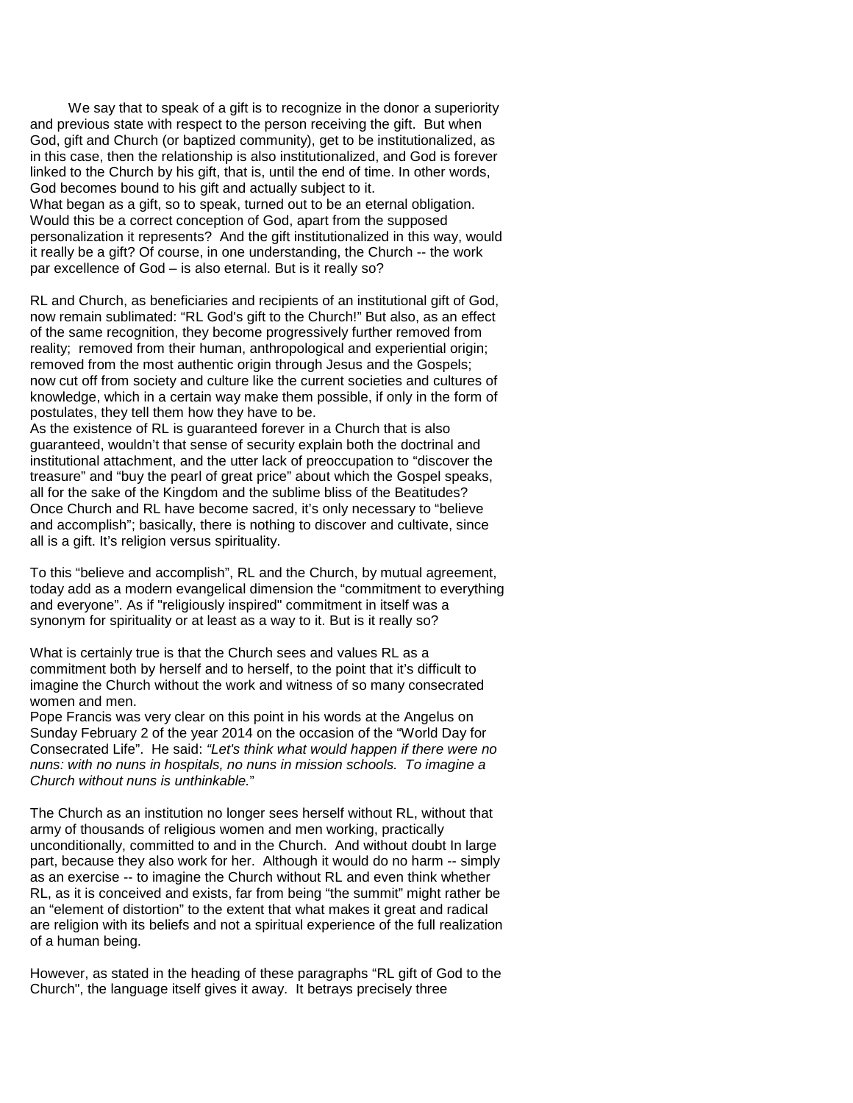We say that to speak of a gift is to recognize in the donor a superiority and previous state with respect to the person receiving the gift. But when God, gift and Church (or baptized community), get to be institutionalized, as in this case, then the relationship is also institutionalized, and God is forever linked to the Church by his gift, that is, until the end of time. In other words, God becomes bound to his gift and actually subject to it. What began as a gift, so to speak, turned out to be an eternal obligation. Would this be a correct conception of God, apart from the supposed personalization it represents? And the gift institutionalized in this way, would it really be a gift? Of course, in one understanding, the Church -- the work par excellence of God – is also eternal. But is it really so?

RL and Church, as beneficiaries and recipients of an institutional gift of God, now remain sublimated: "RL God's gift to the Church!" But also, as an effect of the same recognition, they become progressively further removed from reality; removed from their human, anthropological and experiential origin; removed from the most authentic origin through Jesus and the Gospels; now cut off from society and culture like the current societies and cultures of knowledge, which in a certain way make them possible, if only in the form of postulates, they tell them how they have to be.

As the existence of RL is guaranteed forever in a Church that is also guaranteed, wouldn't that sense of security explain both the doctrinal and institutional attachment, and the utter lack of preoccupation to "discover the treasure" and "buy the pearl of great price" about which the Gospel speaks, all for the sake of the Kingdom and the sublime bliss of the Beatitudes? Once Church and RL have become sacred, it's only necessary to "believe and accomplish"; basically, there is nothing to discover and cultivate, since all is a gift. It's religion versus spirituality.

To this "believe and accomplish", RL and the Church, by mutual agreement, today add as a modern evangelical dimension the "commitment to everything and everyone". As if "religiously inspired" commitment in itself was a synonym for spirituality or at least as a way to it. But is it really so?

What is certainly true is that the Church sees and values RL as a commitment both by herself and to herself, to the point that it's difficult to imagine the Church without the work and witness of so many consecrated women and men.

Pope Francis was very clear on this point in his words at the Angelus on Sunday February 2 of the year 2014 on the occasion of the "World Day for Consecrated Life". He said: *"Let's think what would happen if there were no nuns: with no nuns in hospitals, no nuns in mission schools. To imagine a Church without nuns is unthinkable.*"

The Church as an institution no longer sees herself without RL, without that army of thousands of religious women and men working, practically unconditionally, committed to and in the Church. And without doubt In large part, because they also work for her. Although it would do no harm -- simply as an exercise -- to imagine the Church without RL and even think whether RL, as it is conceived and exists, far from being "the summit" might rather be an "element of distortion" to the extent that what makes it great and radical are religion with its beliefs and not a spiritual experience of the full realization of a human being.

However, as stated in the heading of these paragraphs "RL gift of God to the Church", the language itself gives it away. It betrays precisely three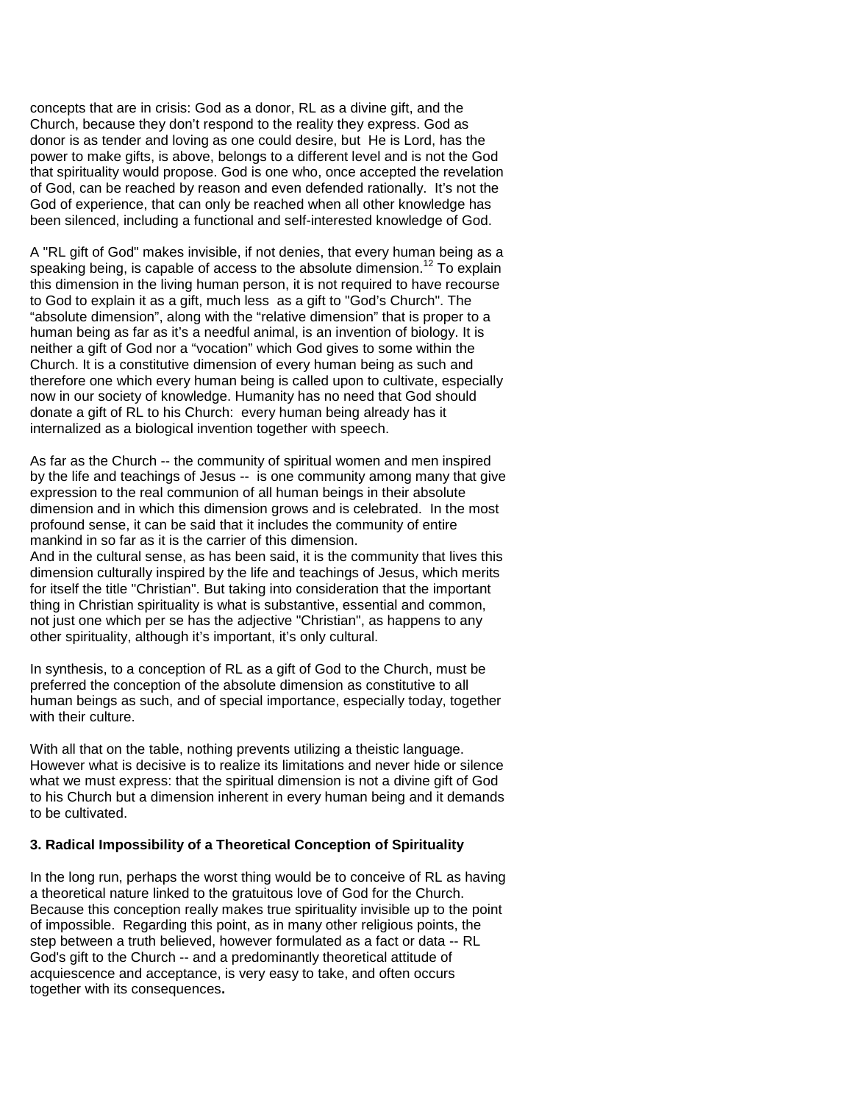concepts that are in crisis: God as a donor, RL as a divine gift, and the Church, because they don't respond to the reality they express. God as donor is as tender and loving as one could desire, but He is Lord, has the power to make gifts, is above, belongs to a different level and is not the God that spirituality would propose. God is one who, once accepted the revelation of God, can be reached by reason and even defended rationally. It's not the God of experience, that can only be reached when all other knowledge has been silenced, including a functional and self-interested knowledge of God.

A "RL gift of God" makes invisible, if not denies, that every human being as a speaking being, is capable of access to the absolute dimension.<sup>12</sup> To explain this dimension in the living human person, it is not required to have recourse to God to explain it as a gift, much less as a gift to "God's Church". The "absolute dimension", along with the "relative dimension" that is proper to a human being as far as it's a needful animal, is an invention of biology. It is neither a gift of God nor a "vocation" which God gives to some within the Church. It is a constitutive dimension of every human being as such and therefore one which every human being is called upon to cultivate, especially now in our society of knowledge. Humanity has no need that God should donate a gift of RL to his Church: every human being already has it internalized as a biological invention together with speech.

As far as the Church -- the community of spiritual women and men inspired by the life and teachings of Jesus -- is one community among many that give expression to the real communion of all human beings in their absolute dimension and in which this dimension grows and is celebrated. In the most profound sense, it can be said that it includes the community of entire mankind in so far as it is the carrier of this dimension.

And in the cultural sense, as has been said, it is the community that lives this dimension culturally inspired by the life and teachings of Jesus, which merits for itself the title "Christian". But taking into consideration that the important thing in Christian spirituality is what is substantive, essential and common, not just one which per se has the adjective "Christian", as happens to any other spirituality, although it's important, it's only cultural.

In synthesis, to a conception of RL as a gift of God to the Church, must be preferred the conception of the absolute dimension as constitutive to all human beings as such, and of special importance, especially today, together with their culture.

With all that on the table, nothing prevents utilizing a theistic language. However what is decisive is to realize its limitations and never hide or silence what we must express: that the spiritual dimension is not a divine gift of God to his Church but a dimension inherent in every human being and it demands to be cultivated.

### **3. Radical Impossibility of a Theoretical Conception of Spirituality**

In the long run, perhaps the worst thing would be to conceive of RL as having a theoretical nature linked to the gratuitous love of God for the Church. Because this conception really makes true spirituality invisible up to the point of impossible. Regarding this point, as in many other religious points, the step between a truth believed, however formulated as a fact or data -- RL God's gift to the Church -- and a predominantly theoretical attitude of acquiescence and acceptance, is very easy to take, and often occurs together with its consequences**.**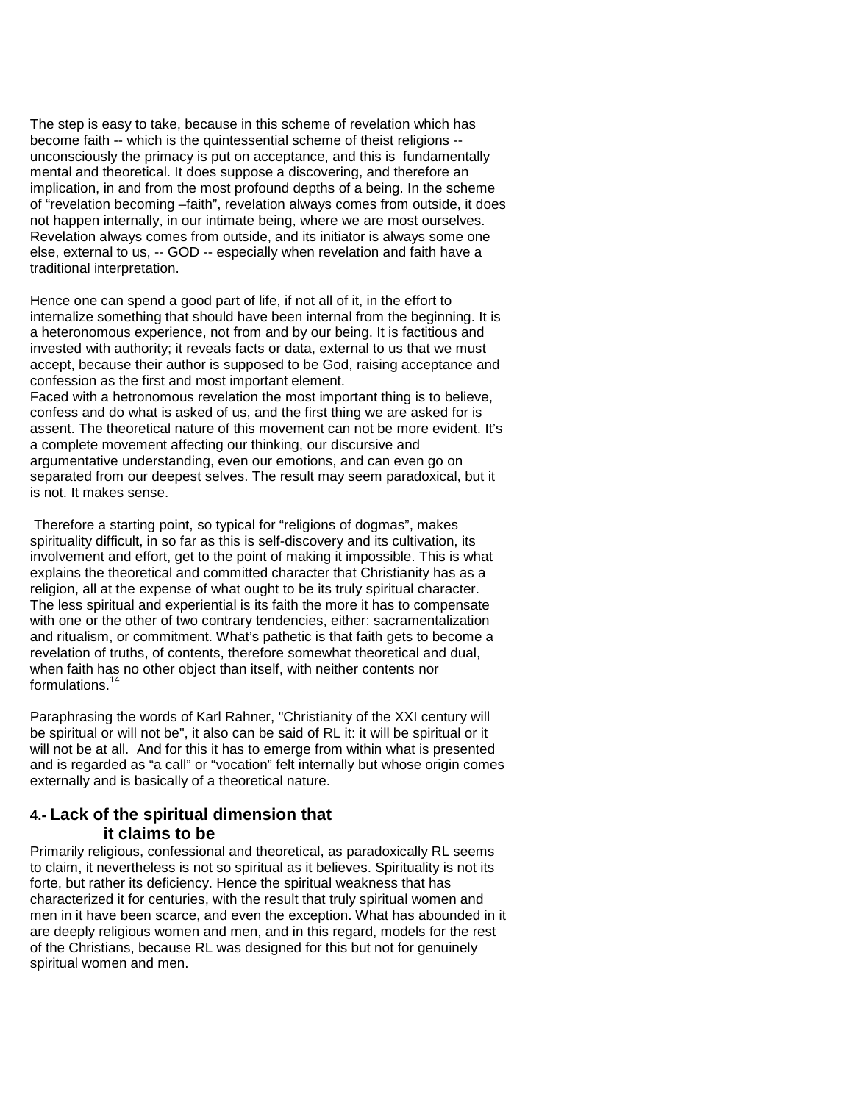The step is easy to take, because in this scheme of revelation which has become faith -- which is the quintessential scheme of theist religions - unconsciously the primacy is put on acceptance, and this is fundamentally mental and theoretical. It does suppose a discovering, and therefore an implication, in and from the most profound depths of a being. In the scheme of "revelation becoming –faith", revelation always comes from outside, it does not happen internally, in our intimate being, where we are most ourselves. Revelation always comes from outside, and its initiator is always some one else, external to us, -- GOD -- especially when revelation and faith have a traditional interpretation.

Hence one can spend a good part of life, if not all of it, in the effort to internalize something that should have been internal from the beginning. It is a heteronomous experience, not from and by our being. It is factitious and invested with authority; it reveals facts or data, external to us that we must accept, because their author is supposed to be God, raising acceptance and confession as the first and most important element. Faced with a hetronomous revelation the most important thing is to believe, confess and do what is asked of us, and the first thing we are asked for is assent. The theoretical nature of this movement can not be more evident. It's a complete movement affecting our thinking, our discursive and argumentative understanding, even our emotions, and can even go on separated from our deepest selves. The result may seem paradoxical, but it is not. It makes sense.

Therefore a starting point, so typical for "religions of dogmas", makes spirituality difficult, in so far as this is self-discovery and its cultivation, its involvement and effort, get to the point of making it impossible. This is what explains the theoretical and committed character that Christianity has as a religion, all at the expense of what ought to be its truly spiritual character. The less spiritual and experiential is its faith the more it has to compensate with one or the other of two contrary tendencies, either: sacramentalization and ritualism, or commitment. What's pathetic is that faith gets to become a revelation of truths, of contents, therefore somewhat theoretical and dual, when faith has no other object than itself, with neither contents nor formulations.<sup>14</sup>

Paraphrasing the words of Karl Rahner, "Christianity of the XXI century will be spiritual or will not be", it also can be said of RL it: it will be spiritual or it will not be at all. And for this it has to emerge from within what is presented and is regarded as "a call" or "vocation" felt internally but whose origin comes externally and is basically of a theoretical nature.

## **4.- Lack of the spiritual dimension that it claims to be**

Primarily religious, confessional and theoretical, as paradoxically RL seems to claim, it nevertheless is not so spiritual as it believes. Spirituality is not its forte, but rather its deficiency. Hence the spiritual weakness that has characterized it for centuries, with the result that truly spiritual women and men in it have been scarce, and even the exception. What has abounded in it are deeply religious women and men, and in this regard, models for the rest of the Christians, because RL was designed for this but not for genuinely spiritual women and men.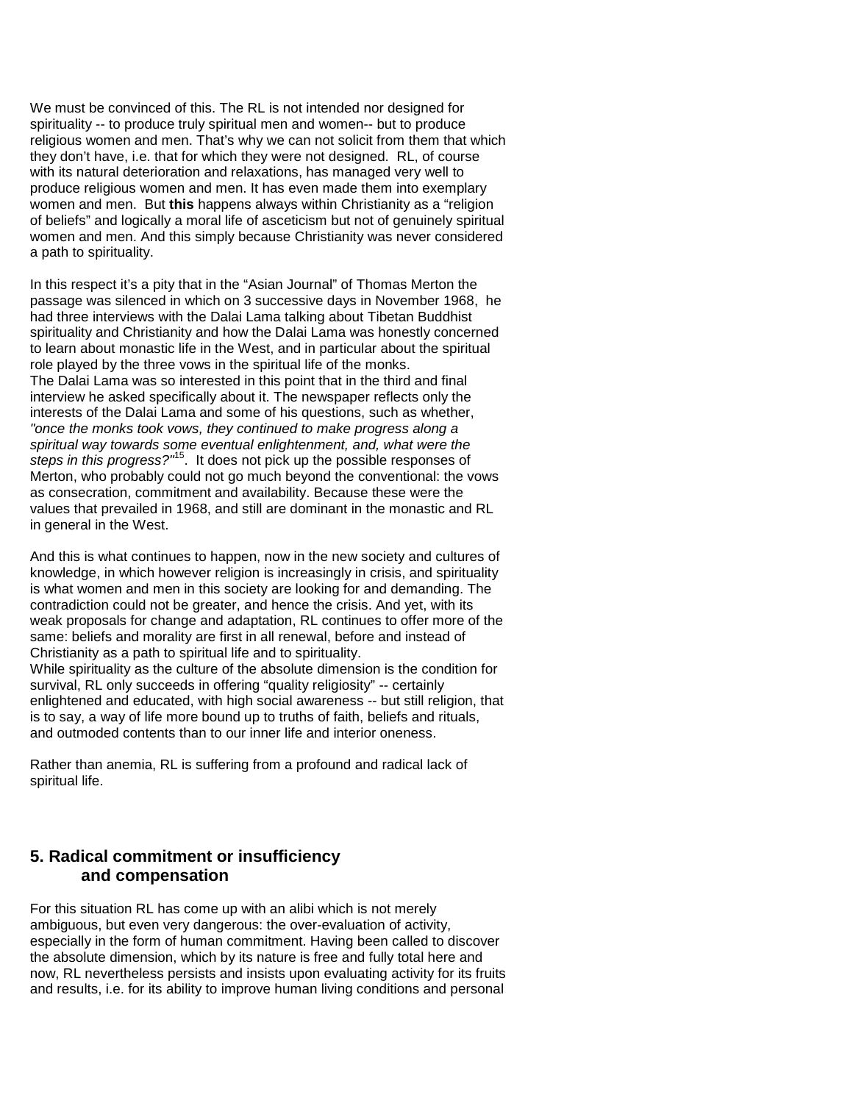We must be convinced of this. The RL is not intended nor designed for spirituality -- to produce truly spiritual men and women-- but to produce religious women and men. That's why we can not solicit from them that which they don't have, i.e. that for which they were not designed. RL, of course with its natural deterioration and relaxations, has managed very well to produce religious women and men. It has even made them into exemplary women and men. But **this** happens always within Christianity as a "religion of beliefs" and logically a moral life of asceticism but not of genuinely spiritual women and men. And this simply because Christianity was never considered a path to spirituality.

In this respect it's a pity that in the "Asian Journal" of Thomas Merton the passage was silenced in which on 3 successive days in November 1968, he had three interviews with the Dalai Lama talking about Tibetan Buddhist spirituality and Christianity and how the Dalai Lama was honestly concerned to learn about monastic life in the West, and in particular about the spiritual role played by the three vows in the spiritual life of the monks. The Dalai Lama was so interested in this point that in the third and final interview he asked specifically about it. The newspaper reflects only the interests of the Dalai Lama and some of his questions, such as whether, *"once the monks took vows, they continued to make progress along a spiritual way towards some eventual enlightenment, and, what were the steps in this progress?"*15. It does not pick up the possible responses of Merton, who probably could not go much beyond the conventional: the vows as consecration, commitment and availability. Because these were the values that prevailed in 1968, and still are dominant in the monastic and RL in general in the West.

And this is what continues to happen, now in the new society and cultures of knowledge, in which however religion is increasingly in crisis, and spirituality is what women and men in this society are looking for and demanding. The contradiction could not be greater, and hence the crisis. And yet, with its weak proposals for change and adaptation, RL continues to offer more of the same: beliefs and morality are first in all renewal, before and instead of Christianity as a path to spiritual life and to spirituality. While spirituality as the culture of the absolute dimension is the condition for survival, RL only succeeds in offering "quality religiosity" -- certainly enlightened and educated, with high social awareness -- but still religion, that is to say, a way of life more bound up to truths of faith, beliefs and rituals, and outmoded contents than to our inner life and interior oneness.

Rather than anemia, RL is suffering from a profound and radical lack of spiritual life.

# **5. Radical commitment or insufficiency and compensation**

For this situation RL has come up with an alibi which is not merely ambiguous, but even very dangerous: the over-evaluation of activity, especially in the form of human commitment. Having been called to discover the absolute dimension, which by its nature is free and fully total here and now, RL nevertheless persists and insists upon evaluating activity for its fruits and results, i.e. for its ability to improve human living conditions and personal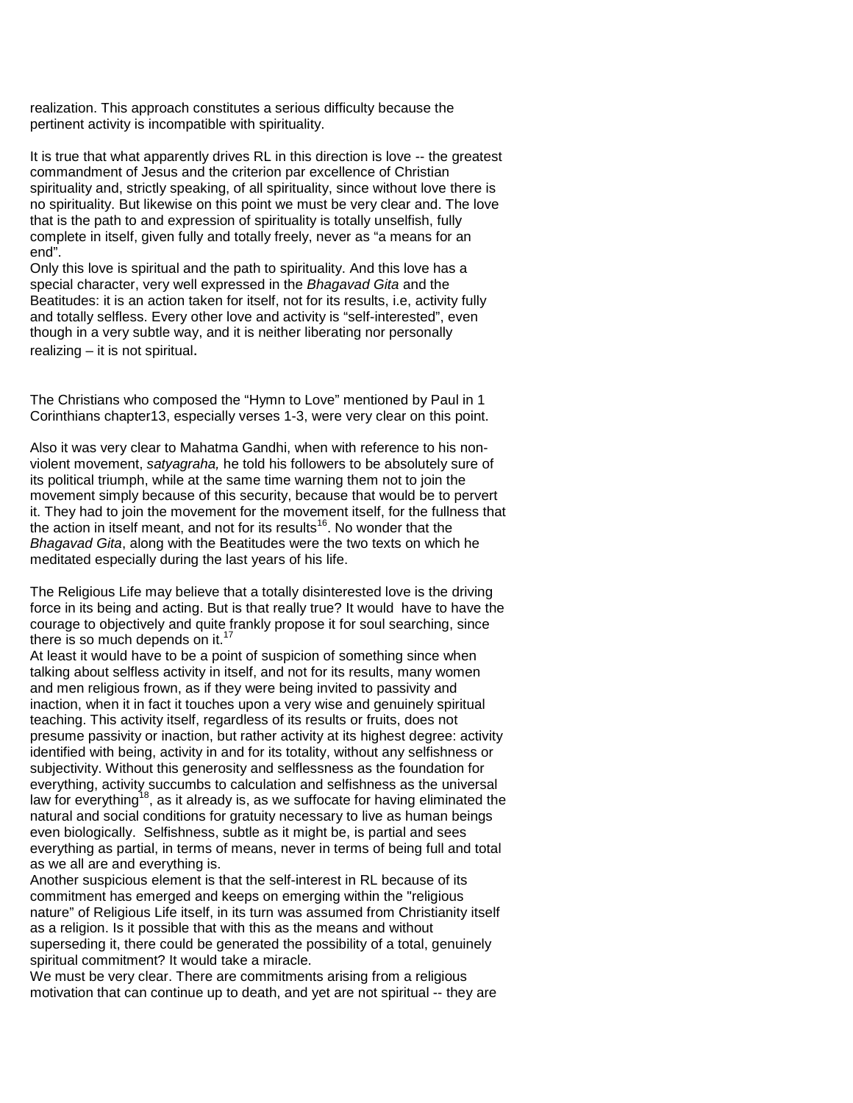realization. This approach constitutes a serious difficulty because the pertinent activity is incompatible with spirituality.

It is true that what apparently drives RL in this direction is love -- the greatest commandment of Jesus and the criterion par excellence of Christian spirituality and, strictly speaking, of all spirituality, since without love there is no spirituality. But likewise on this point we must be very clear and. The love that is the path to and expression of spirituality is totally unselfish, fully complete in itself, given fully and totally freely, never as "a means for an end".

Only this love is spiritual and the path to spirituality. And this love has a special character, very well expressed in the *Bhagavad Gita* and the Beatitudes: it is an action taken for itself, not for its results, i.e, activity fully and totally selfless. Every other love and activity is "self-interested", even though in a very subtle way, and it is neither liberating nor personally realizing – it is not spiritual.

The Christians who composed the "Hymn to Love" mentioned by Paul in 1 Corinthians chapter13, especially verses 1-3, were very clear on this point.

Also it was very clear to Mahatma Gandhi, when with reference to his nonviolent movement, *satyagraha,* he told his followers to be absolutely sure of its political triumph, while at the same time warning them not to join the movement simply because of this security, because that would be to pervert it. They had to join the movement for the movement itself, for the fullness that the action in itself meant, and not for its results<sup>16</sup>. No wonder that the *Bhagavad Gita*, along with the Beatitudes were the two texts on which he meditated especially during the last years of his life.

The Religious Life may believe that a totally disinterested love is the driving force in its being and acting. But is that really true? It would have to have the courage to objectively and quite frankly propose it for soul searching, since there is so much depends on it.<sup>17</sup>

At least it would have to be a point of suspicion of something since when talking about selfless activity in itself, and not for its results, many women and men religious frown, as if they were being invited to passivity and inaction, when it in fact it touches upon a very wise and genuinely spiritual teaching. This activity itself, regardless of its results or fruits, does not presume passivity or inaction, but rather activity at its highest degree: activity identified with being, activity in and for its totality, without any selfishness or subjectivity. Without this generosity and selflessness as the foundation for everything, activity succumbs to calculation and selfishness as the universal law for everything<sup>18</sup>, as it already is, as we suffocate for having eliminated the natural and social conditions for gratuity necessary to live as human beings even biologically. Selfishness, subtle as it might be, is partial and sees everything as partial, in terms of means, never in terms of being full and total as we all are and everything is.

Another suspicious element is that the self-interest in RL because of its commitment has emerged and keeps on emerging within the "religious nature" of Religious Life itself, in its turn was assumed from Christianity itself as a religion. Is it possible that with this as the means and without superseding it, there could be generated the possibility of a total, genuinely spiritual commitment? It would take a miracle.

We must be very clear. There are commitments arising from a religious motivation that can continue up to death, and yet are not spiritual -- they are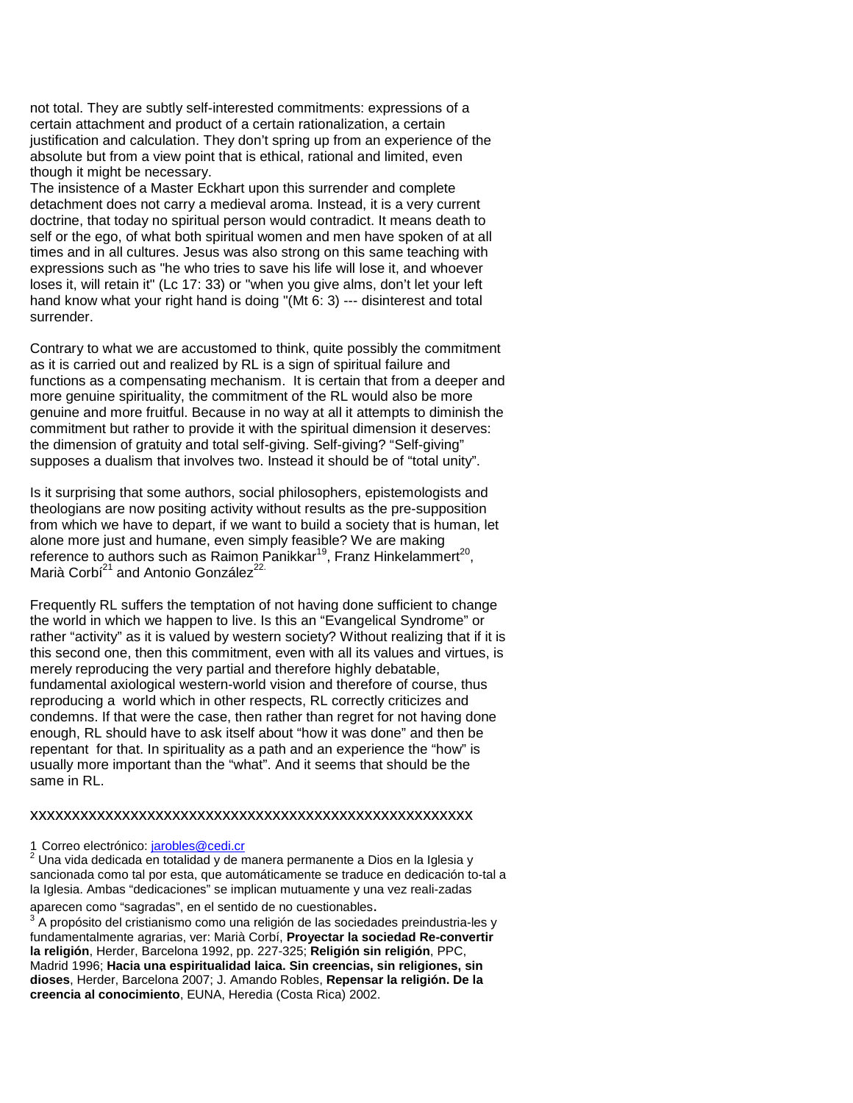not total. They are subtly self-interested commitments: expressions of a certain attachment and product of a certain rationalization, a certain justification and calculation. They don't spring up from an experience of the absolute but from a view point that is ethical, rational and limited, even though it might be necessary.

The insistence of a Master Eckhart upon this surrender and complete detachment does not carry a medieval aroma. Instead, it is a very current doctrine, that today no spiritual person would contradict. It means death to self or the ego, of what both spiritual women and men have spoken of at all times and in all cultures. Jesus was also strong on this same teaching with expressions such as "he who tries to save his life will lose it, and whoever loses it, will retain it" (Lc 17: 33) or "when you give alms, don't let your left hand know what your right hand is doing "(Mt 6: 3) --- disinterest and total surrender.

Contrary to what we are accustomed to think, quite possibly the commitment as it is carried out and realized by RL is a sign of spiritual failure and functions as a compensating mechanism. It is certain that from a deeper and more genuine spirituality, the commitment of the RL would also be more genuine and more fruitful. Because in no way at all it attempts to diminish the commitment but rather to provide it with the spiritual dimension it deserves: the dimension of gratuity and total self-giving. Self-giving? "Self-giving" supposes a dualism that involves two. Instead it should be of "total unity".

Is it surprising that some authors, social philosophers, epistemologists and theologians are now positing activity without results as the pre-supposition from which we have to depart, if we want to build a society that is human, let alone more just and humane, even simply feasible? We are making reference to authors such as Raimon Panikkar<sup>19</sup>, Franz Hinkelammert<sup>20</sup>, Marià Corbí<sup>21</sup> and Antonio González<sup>22.</sup>

Frequently RL suffers the temptation of not having done sufficient to change the world in which we happen to live. Is this an "Evangelical Syndrome" or rather "activity" as it is valued by western society? Without realizing that if it is this second one, then this commitment, even with all its values and virtues, is merely reproducing the very partial and therefore highly debatable, fundamental axiological western-world vision and therefore of course, thus reproducing a world which in other respects, RL correctly criticizes and condemns. If that were the case, then rather than regret for not having done enough, RL should have to ask itself about "how it was done" and then be repentant for that. In spirituality as a path and an experience the "how" is usually more important than the "what". And it seems that should be the same in RL.

#### xxxxxxxxxxxxxxxxxxxxxxxxxxxxxxxxxxxxxxxxxxxxxxxxxxxxx

1 Correo electrónico: *jarobles@cedi.cr*<br><sup>2</sup> Una vida dedicada en totalidad y de manera permanente a Dios en la Iglesia y sancionada como tal por esta, que automáticamente se traduce en dedicación to-tal a la Iglesia. Ambas "dedicaciones" se implican mutuamente y una vez reali-zadas

aparecen como "sagradas", en el sentido de no cuestionables.<br><sup>3</sup> A propósito del cristianismo como una religión de las sociedades preindustria-les y fundamentalmente agrarias, ver: Marià Corbí, **Proyectar la sociedad Re-convertir la religión**, Herder, Barcelona 1992, pp. 227-325; **Religión sin religión**, PPC, Madrid 1996; **Hacia una espiritualidad laica. Sin creencias, sin religiones, sin dioses**, Herder, Barcelona 2007; J. Amando Robles, **Repensar la religión. De la creencia al conocimiento**, EUNA, Heredia (Costa Rica) 2002.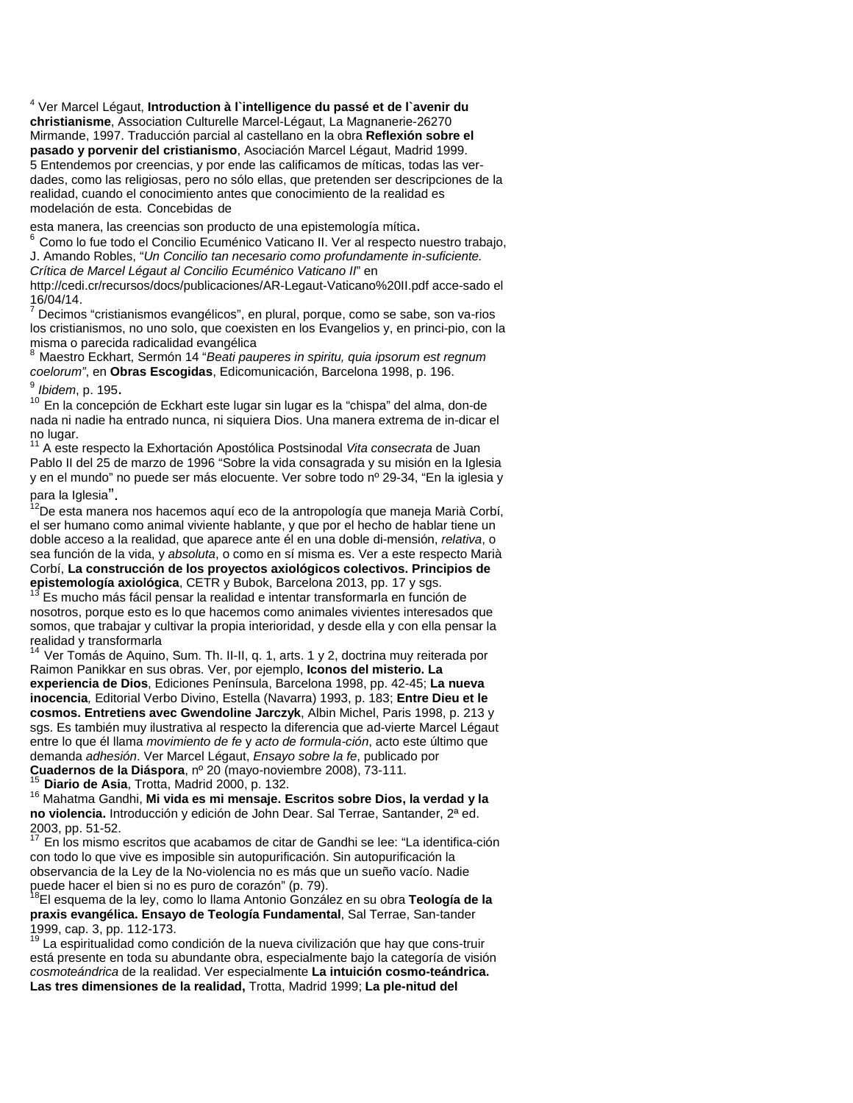<sup>4</sup> Ver Marcel Légaut, **Introduction à l`intelligence du passé et de l`avenir du christianisme**, Association Culturelle Marcel-Légaut, La Magnanerie-26270 Mirmande, 1997. Traducción parcial al castellano en la obra **Reflexión sobre el pasado y porvenir del cristianismo**, Asociación Marcel Légaut, Madrid 1999. 5 Entendemos por creencias, y por ende las calificamos de míticas, todas las verdades, como las religiosas, pero no sólo ellas, que pretenden ser descripciones de la realidad, cuando el conocimiento antes que conocimiento de la realidad es modelación de esta. Concebidas de

esta manera, las creencias son producto de una epistemología mítica.<br><sup>6</sup> Como lo fue todo el Concilio Ecuménico Vaticano II. Ver al respecto nuestro trabajo, J. Amando Robles, "*Un Concilio tan necesario como profundamente in-suficiente. Crítica de Marcel Légaut al Concilio Ecuménico Vaticano II*" en

http://cedi.cr/recursos/docs/publicaciones/AR-Legaut-Vaticano%20II.pdf acce-sado el 16/04/14.

Decimos "cristianismos evangélicos", en plural, porque, como se sabe, son va-rios los cristianismos, no uno solo, que coexisten en los Evangelios y, en princi-pio, con la misma o parecida radicalidad evangélica

<sup>8</sup> Maestro Eckhart, Sermón 14 "*Beati pauperes in spiritu, quia ipsorum est regnum coelorum"*, en **Obras Escogidas**, Edicomunicación, Barcelona 1998, p. 196.

<sup>9</sup> *Ibidem*, p. 195**.**<br><sup>10</sup> En la concepción de Eckhart este lugar sin lugar es la "chispa" del alma, don-de nada ni nadie ha entrado nunca, ni siquiera Dios. Una manera extrema de in-dicar el no lugar.

<sup>11</sup> A este respecto la Exhortación Apostólica Postsinodal *Vita consecrata* de Juan Pablo II del 25 de marzo de 1996 "Sobre la vida consagrada y su misión en la Iglesia y en el mundo" no puede ser más elocuente. Ver sobre todo nº 29-34, "En la iglesia y

para la Iglesia".<br><sup>12</sup>De esta manera nos hacemos aquí eco de la antropología que maneja Marià Corbí, el ser humano como animal viviente hablante, y que por el hecho de hablar tiene un doble acceso a la realidad, que aparece ante él en una doble di-mensión, *relativa*, o sea función de la vida, y *absoluta*, o como en sí misma es. Ver a este respecto Marià Corbí, **La construcción de los proyectos axiológicos colectivos. Principios de** 

Es mucho más fácil pensar la realidad e intentar transformarla en función de nosotros, porque esto es lo que hacemos como animales vivientes interesados que somos, que trabajar y cultivar la propia interioridad, y desde ella y con ella pensar la realidad y transformarla

Ver Tomás de Aquino, Sum. Th. II-II, q. 1, arts. 1 y 2, doctrina muy reiterada por Raimon Panikkar en sus obras. Ver, por ejemplo, **Iconos del misterio. La experiencia de Dios**, Ediciones Península, Barcelona 1998, pp. 42-45; **La nueva inocencia***,* Editorial Verbo Divino, Estella (Navarra) 1993, p. 183; **Entre Dieu et le cosmos. Entretiens avec Gwendoline Jarczyk**, Albin Michel, Paris 1998, p. 213 y sgs. Es también muy ilustrativa al respecto la diferencia que ad-vierte Marcel Légaut entre lo que él llama *movimiento de fe* y *acto de formula-ción*, acto este último que demanda *adhesión*. Ver Marcel Légaut, *Ensayo sobre la fe*, publicado por

<sup>15</sup> Diario de Asia, Trotta, Madrid 2000, p. 132.<br><sup>16</sup> Mahatma Gandhi, **Mi vida es mi mensaje. Escritos sobre Dios, la verdad y la no violencia.** Introducción y edición de John Dear. Sal Terrae, Santander, 2ª ed.

En los mismo escritos que acabamos de citar de Gandhi se lee: "La identifica-ción con todo lo que vive es imposible sin autopurificación. Sin autopurificación la observancia de la Ley de la No-violencia no es más que un sueño vacío. Nadie puede hacer el bien si no es puro de corazón" (p. 79).<br><sup>18</sup>El esquema de la ley, como lo llama Antonio González en su obra **Teología de la** 

**praxis evangélica. Ensayo de Teología Fundamental**, Sal Terrae, San-tander 1999, cap. 3, pp. 112-173.<br><sup>19</sup> La espiritualidad como condición de la nueva civilización que hay que cons-truir

está presente en toda su abundante obra, especialmente bajo la categoría de visión *cosmoteándrica* de la realidad. Ver especialmente **La intuición cosmo-teándrica. Las tres dimensiones de la realidad,** Trotta, Madrid 1999; **La ple-nitud del**